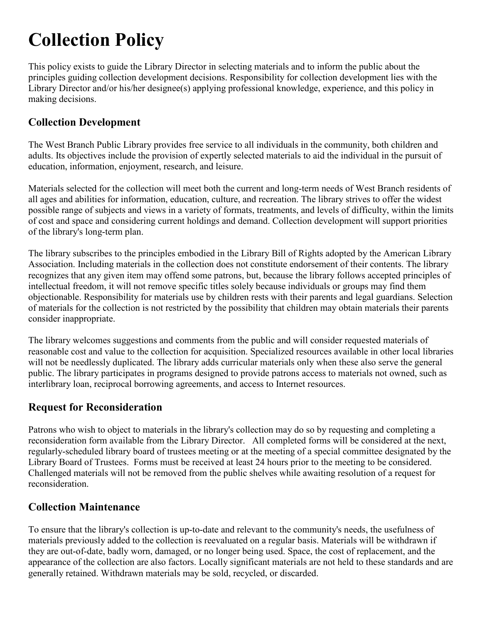# **Collection Policy**

This policy exists to guide the Library Director in selecting materials and to inform the public about the principles guiding collection development decisions. Responsibility for collection development lies with the Library Director and/or his/her designee(s) applying professional knowledge, experience, and this policy in making decisions.

### **Collection Development**

The West Branch Public Library provides free service to all individuals in the community, both children and adults. Its objectives include the provision of expertly selected materials to aid the individual in the pursuit of education, information, enjoyment, research, and leisure.

Materials selected for the collection will meet both the current and long-term needs of West Branch residents of all ages and abilities for information, education, culture, and recreation. The library strives to offer the widest possible range of subjects and views in a variety of formats, treatments, and levels of difficulty, within the limits of cost and space and considering current holdings and demand. Collection development will support priorities of the library's long-term plan.

The library subscribes to the principles embodied in the Library Bill of Rights adopted by the American Library Association. Including materials in the collection does not constitute endorsement of their contents. The library recognizes that any given item may offend some patrons, but, because the library follows accepted principles of intellectual freedom, it will not remove specific titles solely because individuals or groups may find them objectionable. Responsibility for materials use by children rests with their parents and legal guardians. Selection of materials for the collection is not restricted by the possibility that children may obtain materials their parents consider inappropriate.

The library welcomes suggestions and comments from the public and will consider requested materials of reasonable cost and value to the collection for acquisition. Specialized resources available in other local libraries will not be needlessly duplicated. The library adds curricular materials only when these also serve the general public. The library participates in programs designed to provide patrons access to materials not owned, such as interlibrary loan, reciprocal borrowing agreements, and access to Internet resources.

#### **Request for Reconsideration**

Patrons who wish to object to materials in the library's collection may do so by requesting and completing a reconsideration form available from the Library Director. All completed forms will be considered at the next, regularly-scheduled library board of trustees meeting or at the meeting of a special committee designated by the Library Board of Trustees. Forms must be received at least 24 hours prior to the meeting to be considered. Challenged materials will not be removed from the public shelves while awaiting resolution of a request for reconsideration.

#### **Collection Maintenance**

To ensure that the library's collection is up-to-date and relevant to the community's needs, the usefulness of materials previously added to the collection is reevaluated on a regular basis. Materials will be withdrawn if they are out-of-date, badly worn, damaged, or no longer being used. Space, the cost of replacement, and the appearance of the collection are also factors. Locally significant materials are not held to these standards and are generally retained. Withdrawn materials may be sold, recycled, or discarded.